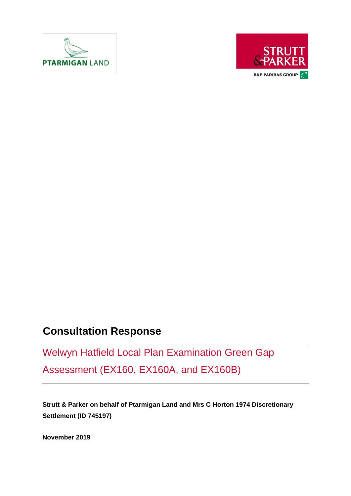



## **Consultation Response**

Welwyn Hatfield Local Plan Examination Green Gap Assessment (EX160, EX160A, and EX160B)

**Strutt & Parker on behalf of Ptarmigan Land and Mrs C Horton 1974 Discretionary Settlement (ID 745197)**

**November 2019**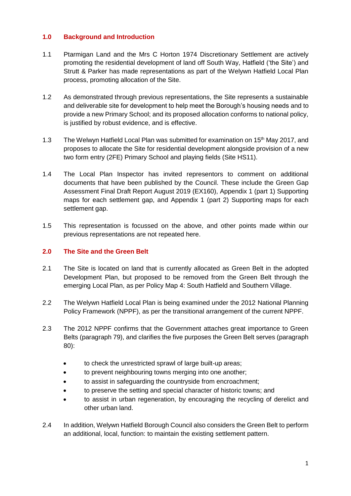## **1.0 Background and Introduction**

- 1.1 Ptarmigan Land and the Mrs C Horton 1974 Discretionary Settlement are actively promoting the residential development of land off South Way, Hatfield ('the Site') and Strutt & Parker has made representations as part of the Welywn Hatfield Local Plan process, promoting allocation of the Site.
- 1.2 As demonstrated through previous representations, the Site represents a sustainable and deliverable site for development to help meet the Borough's housing needs and to provide a new Primary School; and its proposed allocation conforms to national policy, is justified by robust evidence, and is effective.
- 1.3 The Welwyn Hatfield Local Plan was submitted for examination on 15<sup>th</sup> May 2017, and proposes to allocate the Site for residential development alongside provision of a new two form entry (2FE) Primary School and playing fields (Site HS11).
- 1.4 The Local Plan Inspector has invited representors to comment on additional documents that have been published by the Council. These include the Green Gap Assessment Final Draft Report August 2019 (EX160), Appendix 1 (part 1) Supporting maps for each settlement gap, and Appendix 1 (part 2) Supporting maps for each settlement gap.
- 1.5 This representation is focussed on the above, and other points made within our previous representations are not repeated here.

## **2.0 The Site and the Green Belt**

- 2.1 The Site is located on land that is currently allocated as Green Belt in the adopted Development Plan, but proposed to be removed from the Green Belt through the emerging Local Plan, as per Policy Map 4: South Hatfield and Southern Village.
- 2.2 The Welywn Hatfield Local Plan is being examined under the 2012 National Planning Policy Framework (NPPF), as per the transitional arrangement of the current NPPF.
- 2.3 The 2012 NPPF confirms that the Government attaches great importance to Green Belts (paragraph 79), and clarifies the five purposes the Green Belt serves (paragraph 80):
	- to check the unrestricted sprawl of large built-up areas;
	- to prevent neighbouring towns merging into one another;
	- to assist in safeguarding the countryside from encroachment;
	- to preserve the setting and special character of historic towns; and
	- to assist in urban regeneration, by encouraging the recycling of derelict and other urban land.
- 2.4 In addition, Welywn Hatfield Borough Council also considers the Green Belt to perform an additional, local, function: to maintain the existing settlement pattern.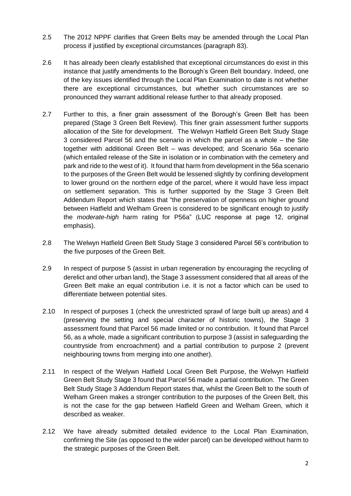- 2.5 The 2012 NPPF clarifies that Green Belts may be amended through the Local Plan process if justified by exceptional circumstances (paragraph 83).
- 2.6 It has already been clearly established that exceptional circumstances do exist in this instance that justify amendments to the Borough's Green Belt boundary. Indeed, one of the key issues identified through the Local Plan Examination to date is not whether there are exceptional circumstances, but whether such circumstances are so pronounced they warrant additional release further to that already proposed.
- 2.7 Further to this, a finer grain assessment of the Borough's Green Belt has been prepared (Stage 3 Green Belt Review). This finer grain assessment further supports allocation of the Site for development. The Welwyn Hatfield Green Belt Study Stage 3 considered Parcel 56 and the scenario in which the parcel as a whole – the Site together with additional Green Belt – was developed; and Scenario 56a scenario (which entailed release of the Site in isolation or in combination with the cemetery and park and ride to the west of it). It found that harm from development in the 56a scenario to the purposes of the Green Belt would be lessened slightly by confining development to lower ground on the northern edge of the parcel, where it would have less impact on settlement separation. This is further supported by the Stage 3 Green Belt Addendum Report which states that "the preservation of openness on higher ground between Hatfield and Welham Green is considered to be significant enough to justify the *moderate-high* harm rating for P56a" (LUC response at page 12, original emphasis).
- 2.8 The Welwyn Hatfield Green Belt Study Stage 3 considered Parcel 56's contribution to the five purposes of the Green Belt.
- 2.9 In respect of purpose 5 (assist in urban regeneration by encouraging the recycling of derelict and other urban land), the Stage 3 assessment considered that all areas of the Green Belt make an equal contribution i.e. it is not a factor which can be used to differentiate between potential sites.
- 2.10 In respect of purposes 1 (check the unrestricted sprawl of large built up areas) and 4 (preserving the setting and special character of historic towns), the Stage 3 assessment found that Parcel 56 made limited or no contribution. It found that Parcel 56, as a whole, made a significant contribution to purpose 3 (assist in safeguarding the countryside from encroachment) and a partial contribution to purpose 2 (prevent neighbouring towns from merging into one another).
- 2.11 In respect of the Welywn Hatfield Local Green Belt Purpose, the Welwyn Hatfield Green Belt Study Stage 3 found that Parcel 56 made a partial contribution. The Green Belt Study Stage 3 Addendum Report states that, whilst the Green Belt to the south of Welham Green makes a stronger contribution to the purposes of the Green Belt, this is not the case for the gap between Hatfield Green and Welham Green, which it described as weaker.
- 2.12 We have already submitted detailed evidence to the Local Plan Examination, confirming the Site (as opposed to the wider parcel) can be developed without harm to the strategic purposes of the Green Belt.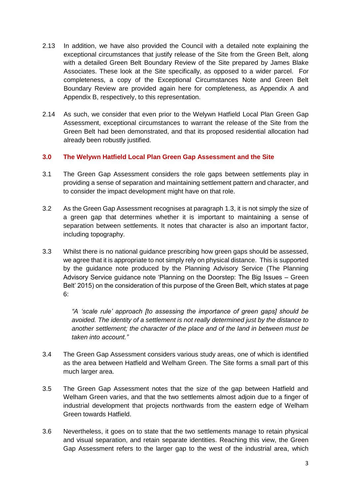- 2.13 In addition, we have also provided the Council with a detailed note explaining the exceptional circumstances that justify release of the Site from the Green Belt, along with a detailed Green Belt Boundary Review of the Site prepared by James Blake Associates. These look at the Site specifically, as opposed to a wider parcel. For completeness, a copy of the Exceptional Circumstances Note and Green Belt Boundary Review are provided again here for completeness, as Appendix A and Appendix B, respectively, to this representation.
- 2.14 As such, we consider that even prior to the Welywn Hatfield Local Plan Green Gap Assessment, exceptional circumstances to warrant the release of the Site from the Green Belt had been demonstrated, and that its proposed residential allocation had already been robustly justified.

## **3.0 The Welywn Hatfield Local Plan Green Gap Assessment and the Site**

- 3.1 The Green Gap Assessment considers the role gaps between settlements play in providing a sense of separation and maintaining settlement pattern and character, and to consider the impact development might have on that role.
- 3.2 As the Green Gap Assessment recognises at paragraph 1.3, it is not simply the size of a green gap that determines whether it is important to maintaining a sense of separation between settlements. It notes that character is also an important factor, including topography.
- 3.3 Whilst there is no national guidance prescribing how green gaps should be assessed, we agree that it is appropriate to not simply rely on physical distance. This is supported by the guidance note produced by the Planning Advisory Service (The Planning Advisory Service guidance note 'Planning on the Doorstep: The Big Issues – Green Belt' 2015) on the consideration of this purpose of the Green Belt, which states at page 6:

*"A 'scale rule' approach [to assessing the importance of green gaps] should be avoided. The identity of a settlement is not really determined just by the distance to another settlement; the character of the place and of the land in between must be taken into account."*

- 3.4 The Green Gap Assessment considers various study areas, one of which is identified as the area between Hatfield and Welham Green. The Site forms a small part of this much larger area.
- 3.5 The Green Gap Assessment notes that the size of the gap between Hatfield and Welham Green varies, and that the two settlements almost adjoin due to a finger of industrial development that projects northwards from the eastern edge of Welham Green towards Hatfield.
- 3.6 Nevertheless, it goes on to state that the two settlements manage to retain physical and visual separation, and retain separate identities. Reaching this view, the Green Gap Assessment refers to the larger gap to the west of the industrial area, which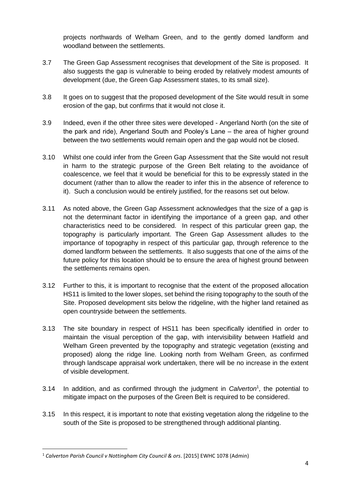projects northwards of Welham Green, and to the gently domed landform and woodland between the settlements.

- 3.7 The Green Gap Assessment recognises that development of the Site is proposed. It also suggests the gap is vulnerable to being eroded by relatively modest amounts of development (due, the Green Gap Assessment states, to its small size).
- 3.8 It goes on to suggest that the proposed development of the Site would result in some erosion of the gap, but confirms that it would not close it.
- 3.9 Indeed, even if the other three sites were developed Angerland North (on the site of the park and ride), Angerland South and Pooley's Lane – the area of higher ground between the two settlements would remain open and the gap would not be closed.
- 3.10 Whilst one could infer from the Green Gap Assessment that the Site would not result in harm to the strategic purpose of the Green Belt relating to the avoidance of coalescence, we feel that it would be beneficial for this to be expressly stated in the document (rather than to allow the reader to infer this in the absence of reference to it). Such a conclusion would be entirely justified, for the reasons set out below.
- 3.11 As noted above, the Green Gap Assessment acknowledges that the size of a gap is not the determinant factor in identifying the importance of a green gap, and other characteristics need to be considered. In respect of this particular green gap, the topography is particularly important. The Green Gap Assessment alludes to the importance of topography in respect of this particular gap, through reference to the domed landform between the settlements. It also suggests that one of the aims of the future policy for this location should be to ensure the area of highest ground between the settlements remains open.
- 3.12 Further to this, it is important to recognise that the extent of the proposed allocation HS11 is limited to the lower slopes, set behind the rising topography to the south of the Site. Proposed development sits below the ridgeline, with the higher land retained as open countryside between the settlements.
- 3.13 The site boundary in respect of HS11 has been specifically identified in order to maintain the visual perception of the gap, with intervisibility between Hatfield and Welham Green prevented by the topography and strategic vegetation (existing and proposed) along the ridge line. Looking north from Welham Green, as confirmed through landscape appraisal work undertaken, there will be no increase in the extent of visible development.
- 3.14 In addition, and as confirmed through the judgment in *Calverton*<sup>1</sup> , the potential to mitigate impact on the purposes of the Green Belt is required to be considered.
- 3.15 In this respect, it is important to note that existing vegetation along the ridgeline to the south of the Site is proposed to be strengthened through additional planting.

**.** 

<sup>1</sup> *Calverton Parish Council v Nottingham City Council & ors*. [2015] EWHC 1078 (Admin)